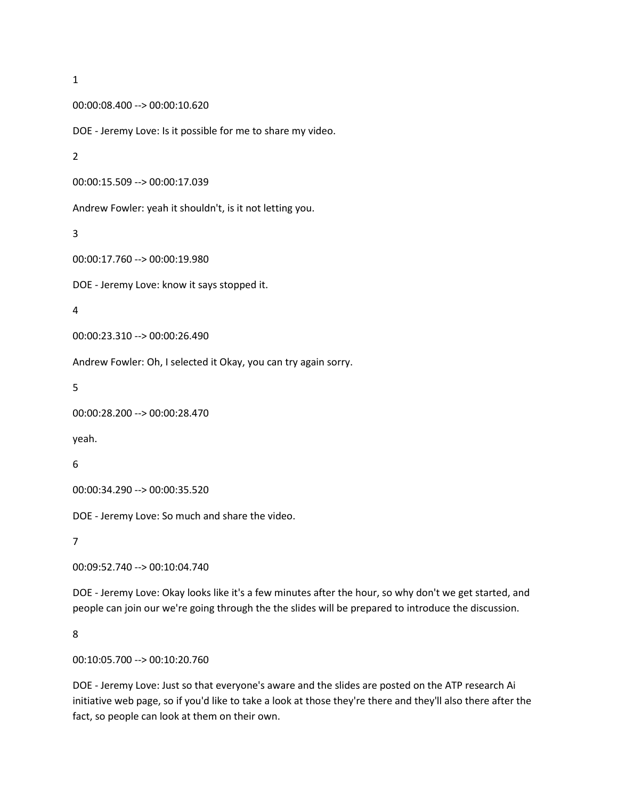```
00:00:08.400 --> 00:00:10.620
```
DOE - Jeremy Love: Is it possible for me to share my video.

2

```
00:00:15.509 --> 00:00:17.039
```
Andrew Fowler: yeah it shouldn't, is it not letting you.

3

```
00:00:17.760 --> 00:00:19.980
```
DOE - Jeremy Love: know it says stopped it.

4

```
00:00:23.310 --> 00:00:26.490
```
Andrew Fowler: Oh, I selected it Okay, you can try again sorry.

5

```
00:00:28.200 --> 00:00:28.470
```
yeah.

6

```
00:00:34.290 --> 00:00:35.520
```
DOE - Jeremy Love: So much and share the video.

7

00:09:52.740 --> 00:10:04.740

DOE - Jeremy Love: Okay looks like it's a few minutes after the hour, so why don't we get started, and people can join our we're going through the the slides will be prepared to introduce the discussion.

8

00:10:05.700 --> 00:10:20.760

DOE - Jeremy Love: Just so that everyone's aware and the slides are posted on the ATP research Ai initiative web page, so if you'd like to take a look at those they're there and they'll also there after the fact, so people can look at them on their own.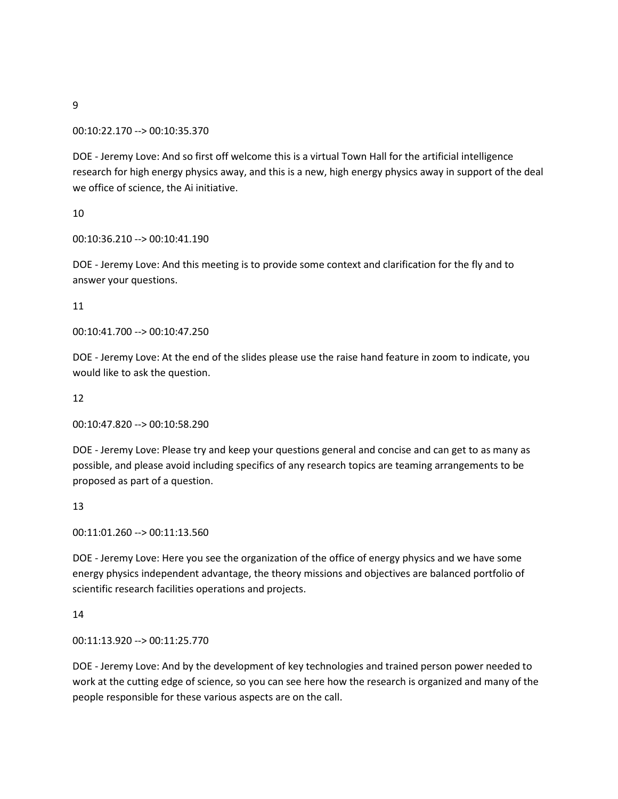00:10:22.170 --> 00:10:35.370

DOE - Jeremy Love: And so first off welcome this is a virtual Town Hall for the artificial intelligence research for high energy physics away, and this is a new, high energy physics away in support of the deal we office of science, the Ai initiative.

10

00:10:36.210 --> 00:10:41.190

DOE - Jeremy Love: And this meeting is to provide some context and clarification for the fly and to answer your questions.

11

00:10:41.700 --> 00:10:47.250

DOE - Jeremy Love: At the end of the slides please use the raise hand feature in zoom to indicate, you would like to ask the question.

12

00:10:47.820 --> 00:10:58.290

DOE - Jeremy Love: Please try and keep your questions general and concise and can get to as many as possible, and please avoid including specifics of any research topics are teaming arrangements to be proposed as part of a question.

13

00:11:01.260 --> 00:11:13.560

DOE - Jeremy Love: Here you see the organization of the office of energy physics and we have some energy physics independent advantage, the theory missions and objectives are balanced portfolio of scientific research facilities operations and projects.

14

00:11:13.920 --> 00:11:25.770

DOE - Jeremy Love: And by the development of key technologies and trained person power needed to work at the cutting edge of science, so you can see here how the research is organized and many of the people responsible for these various aspects are on the call.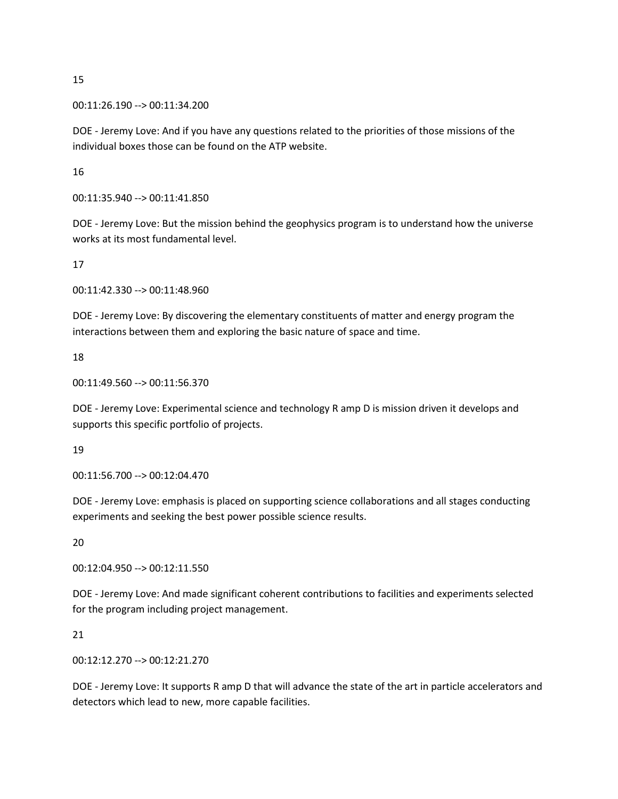00:11:26.190 --> 00:11:34.200

DOE - Jeremy Love: And if you have any questions related to the priorities of those missions of the individual boxes those can be found on the ATP website.

16

00:11:35.940 --> 00:11:41.850

DOE - Jeremy Love: But the mission behind the geophysics program is to understand how the universe works at its most fundamental level.

17

00:11:42.330 --> 00:11:48.960

DOE - Jeremy Love: By discovering the elementary constituents of matter and energy program the interactions between them and exploring the basic nature of space and time.

18

00:11:49.560 --> 00:11:56.370

DOE - Jeremy Love: Experimental science and technology R amp D is mission driven it develops and supports this specific portfolio of projects.

19

00:11:56.700 --> 00:12:04.470

DOE - Jeremy Love: emphasis is placed on supporting science collaborations and all stages conducting experiments and seeking the best power possible science results.

20

00:12:04.950 --> 00:12:11.550

DOE - Jeremy Love: And made significant coherent contributions to facilities and experiments selected for the program including project management.

21

00:12:12.270 --> 00:12:21.270

DOE - Jeremy Love: It supports R amp D that will advance the state of the art in particle accelerators and detectors which lead to new, more capable facilities.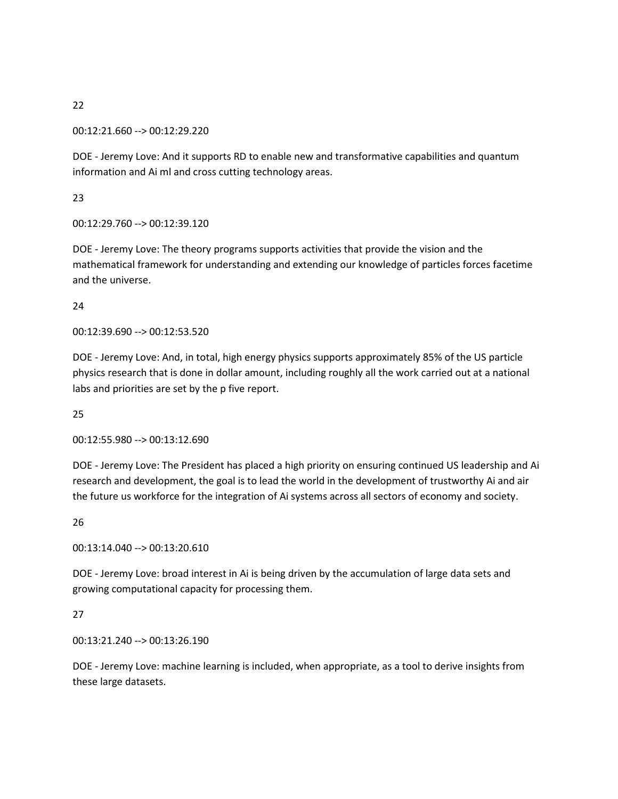00:12:21.660 --> 00:12:29.220

DOE - Jeremy Love: And it supports RD to enable new and transformative capabilities and quantum information and Ai ml and cross cutting technology areas.

23

00:12:29.760 --> 00:12:39.120

DOE - Jeremy Love: The theory programs supports activities that provide the vision and the mathematical framework for understanding and extending our knowledge of particles forces facetime and the universe.

24

00:12:39.690 --> 00:12:53.520

DOE - Jeremy Love: And, in total, high energy physics supports approximately 85% of the US particle physics research that is done in dollar amount, including roughly all the work carried out at a national labs and priorities are set by the p five report.

25

00:12:55.980 --> 00:13:12.690

DOE - Jeremy Love: The President has placed a high priority on ensuring continued US leadership and Ai research and development, the goal is to lead the world in the development of trustworthy Ai and air the future us workforce for the integration of Ai systems across all sectors of economy and society.

26

00:13:14.040 --> 00:13:20.610

DOE - Jeremy Love: broad interest in Ai is being driven by the accumulation of large data sets and growing computational capacity for processing them.

27

00:13:21.240 --> 00:13:26.190

DOE - Jeremy Love: machine learning is included, when appropriate, as a tool to derive insights from these large datasets.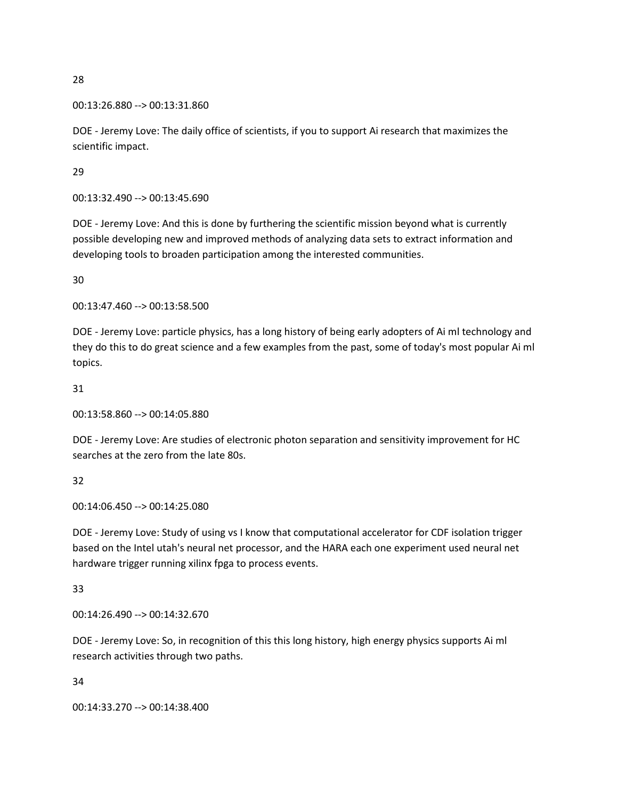```
00:13:26.880 --> 00:13:31.860
```
DOE - Jeremy Love: The daily office of scientists, if you to support Ai research that maximizes the scientific impact.

29

00:13:32.490 --> 00:13:45.690

DOE - Jeremy Love: And this is done by furthering the scientific mission beyond what is currently possible developing new and improved methods of analyzing data sets to extract information and developing tools to broaden participation among the interested communities.

30

00:13:47.460 --> 00:13:58.500

DOE - Jeremy Love: particle physics, has a long history of being early adopters of Ai ml technology and they do this to do great science and a few examples from the past, some of today's most popular Ai ml topics.

31

00:13:58.860 --> 00:14:05.880

DOE - Jeremy Love: Are studies of electronic photon separation and sensitivity improvement for HC searches at the zero from the late 80s.

32

00:14:06.450 --> 00:14:25.080

DOE - Jeremy Love: Study of using vs I know that computational accelerator for CDF isolation trigger based on the Intel utah's neural net processor, and the HARA each one experiment used neural net hardware trigger running xilinx fpga to process events.

33

00:14:26.490 --> 00:14:32.670

DOE - Jeremy Love: So, in recognition of this this long history, high energy physics supports Ai ml research activities through two paths.

34

00:14:33.270 --> 00:14:38.400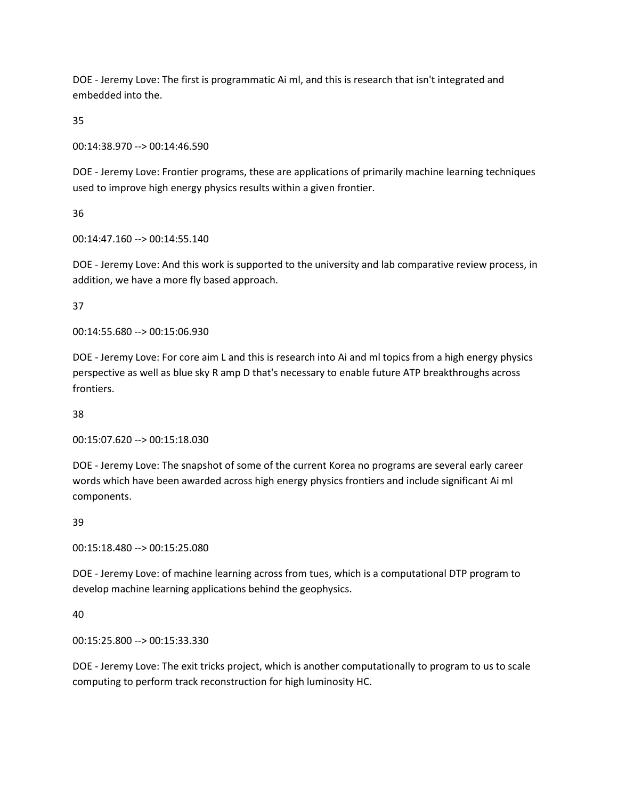DOE - Jeremy Love: The first is programmatic Ai ml, and this is research that isn't integrated and embedded into the.

35

00:14:38.970 --> 00:14:46.590

DOE - Jeremy Love: Frontier programs, these are applications of primarily machine learning techniques used to improve high energy physics results within a given frontier.

36

00:14:47.160 --> 00:14:55.140

DOE - Jeremy Love: And this work is supported to the university and lab comparative review process, in addition, we have a more fly based approach.

37

00:14:55.680 --> 00:15:06.930

DOE - Jeremy Love: For core aim L and this is research into Ai and ml topics from a high energy physics perspective as well as blue sky R amp D that's necessary to enable future ATP breakthroughs across frontiers.

38

00:15:07.620 --> 00:15:18.030

DOE - Jeremy Love: The snapshot of some of the current Korea no programs are several early career words which have been awarded across high energy physics frontiers and include significant Ai ml components.

39

00:15:18.480 --> 00:15:25.080

DOE - Jeremy Love: of machine learning across from tues, which is a computational DTP program to develop machine learning applications behind the geophysics.

40

00:15:25.800 --> 00:15:33.330

DOE - Jeremy Love: The exit tricks project, which is another computationally to program to us to scale computing to perform track reconstruction for high luminosity HC.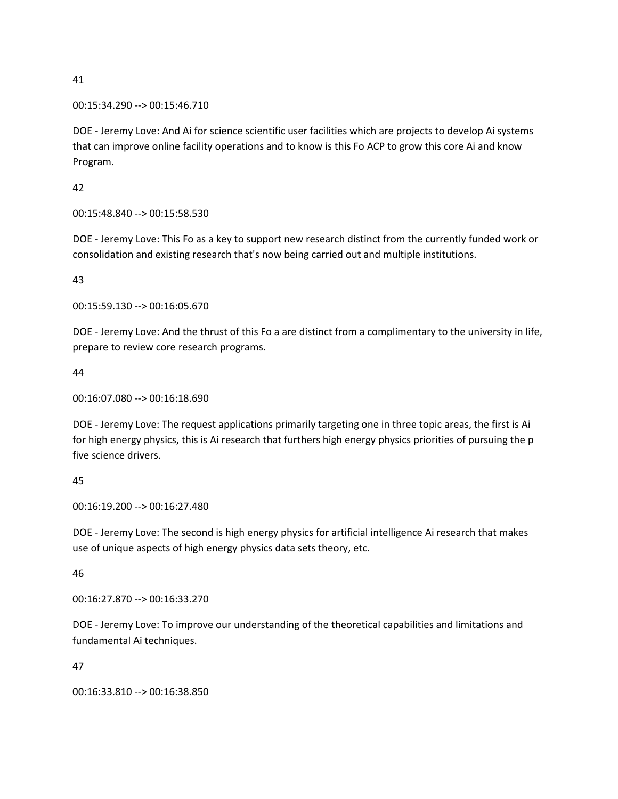00:15:34.290 --> 00:15:46.710

DOE - Jeremy Love: And Ai for science scientific user facilities which are projects to develop Ai systems that can improve online facility operations and to know is this Fo ACP to grow this core Ai and know Program.

42

00:15:48.840 --> 00:15:58.530

DOE - Jeremy Love: This Fo as a key to support new research distinct from the currently funded work or consolidation and existing research that's now being carried out and multiple institutions.

43

00:15:59.130 --> 00:16:05.670

DOE - Jeremy Love: And the thrust of this Fo a are distinct from a complimentary to the university in life, prepare to review core research programs.

44

```
00:16:07.080 --> 00:16:18.690
```
DOE - Jeremy Love: The request applications primarily targeting one in three topic areas, the first is Ai for high energy physics, this is Ai research that furthers high energy physics priorities of pursuing the p five science drivers.

45

00:16:19.200 --> 00:16:27.480

DOE - Jeremy Love: The second is high energy physics for artificial intelligence Ai research that makes use of unique aspects of high energy physics data sets theory, etc.

46

00:16:27.870 --> 00:16:33.270

DOE - Jeremy Love: To improve our understanding of the theoretical capabilities and limitations and fundamental Ai techniques.

47

00:16:33.810 --> 00:16:38.850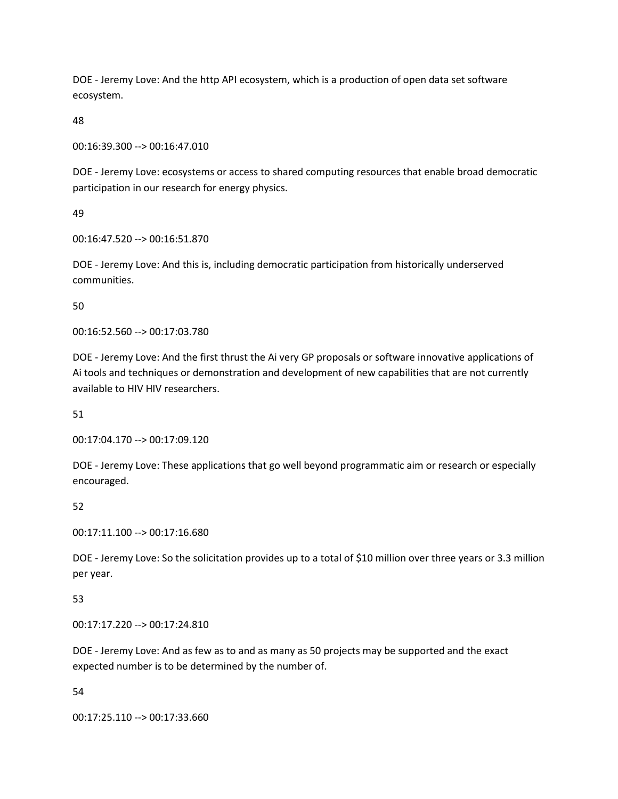DOE - Jeremy Love: And the http API ecosystem, which is a production of open data set software ecosystem.

48

00:16:39.300 --> 00:16:47.010

DOE - Jeremy Love: ecosystems or access to shared computing resources that enable broad democratic participation in our research for energy physics.

49

00:16:47.520 --> 00:16:51.870

DOE - Jeremy Love: And this is, including democratic participation from historically underserved communities.

50

00:16:52.560 --> 00:17:03.780

DOE - Jeremy Love: And the first thrust the Ai very GP proposals or software innovative applications of Ai tools and techniques or demonstration and development of new capabilities that are not currently available to HIV HIV researchers.

51

00:17:04.170 --> 00:17:09.120

DOE - Jeremy Love: These applications that go well beyond programmatic aim or research or especially encouraged.

52

00:17:11.100 --> 00:17:16.680

DOE - Jeremy Love: So the solicitation provides up to a total of \$10 million over three years or 3.3 million per year.

53

00:17:17.220 --> 00:17:24.810

DOE - Jeremy Love: And as few as to and as many as 50 projects may be supported and the exact expected number is to be determined by the number of.

54

00:17:25.110 --> 00:17:33.660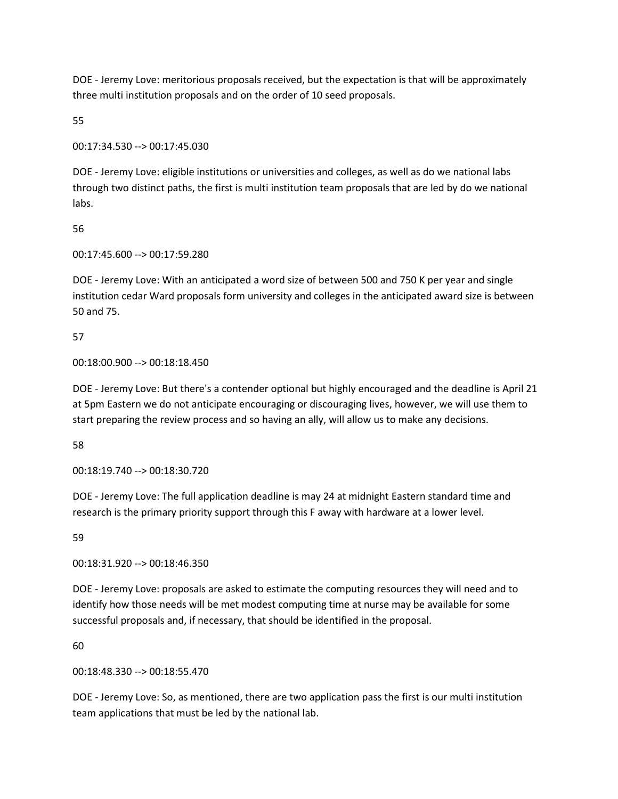DOE - Jeremy Love: meritorious proposals received, but the expectation is that will be approximately three multi institution proposals and on the order of 10 seed proposals.

55

00:17:34.530 --> 00:17:45.030

DOE - Jeremy Love: eligible institutions or universities and colleges, as well as do we national labs through two distinct paths, the first is multi institution team proposals that are led by do we national labs.

56

00:17:45.600 --> 00:17:59.280

DOE - Jeremy Love: With an anticipated a word size of between 500 and 750 K per year and single institution cedar Ward proposals form university and colleges in the anticipated award size is between 50 and 75.

57

00:18:00.900 --> 00:18:18.450

DOE - Jeremy Love: But there's a contender optional but highly encouraged and the deadline is April 21 at 5pm Eastern we do not anticipate encouraging or discouraging lives, however, we will use them to start preparing the review process and so having an ally, will allow us to make any decisions.

58

00:18:19.740 --> 00:18:30.720

DOE - Jeremy Love: The full application deadline is may 24 at midnight Eastern standard time and research is the primary priority support through this F away with hardware at a lower level.

59

00:18:31.920 --> 00:18:46.350

DOE - Jeremy Love: proposals are asked to estimate the computing resources they will need and to identify how those needs will be met modest computing time at nurse may be available for some successful proposals and, if necessary, that should be identified in the proposal.

60

00:18:48.330 --> 00:18:55.470

DOE - Jeremy Love: So, as mentioned, there are two application pass the first is our multi institution team applications that must be led by the national lab.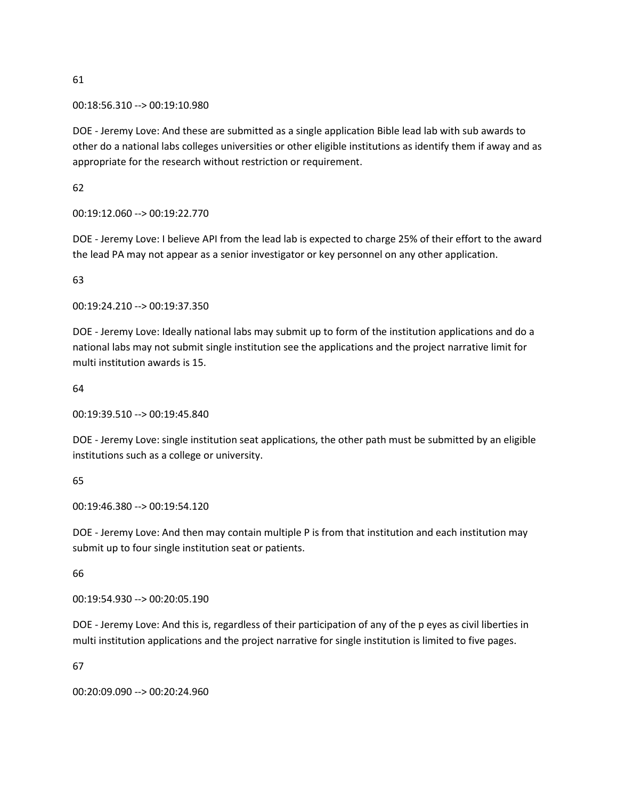00:18:56.310 --> 00:19:10.980

DOE - Jeremy Love: And these are submitted as a single application Bible lead lab with sub awards to other do a national labs colleges universities or other eligible institutions as identify them if away and as appropriate for the research without restriction or requirement.

62

00:19:12.060 --> 00:19:22.770

DOE - Jeremy Love: I believe API from the lead lab is expected to charge 25% of their effort to the award the lead PA may not appear as a senior investigator or key personnel on any other application.

63

00:19:24.210 --> 00:19:37.350

DOE - Jeremy Love: Ideally national labs may submit up to form of the institution applications and do a national labs may not submit single institution see the applications and the project narrative limit for multi institution awards is 15.

64

00:19:39.510 --> 00:19:45.840

DOE - Jeremy Love: single institution seat applications, the other path must be submitted by an eligible institutions such as a college or university.

65

00:19:46.380 --> 00:19:54.120

DOE - Jeremy Love: And then may contain multiple P is from that institution and each institution may submit up to four single institution seat or patients.

66

00:19:54.930 --> 00:20:05.190

DOE - Jeremy Love: And this is, regardless of their participation of any of the p eyes as civil liberties in multi institution applications and the project narrative for single institution is limited to five pages.

67

00:20:09.090 --> 00:20:24.960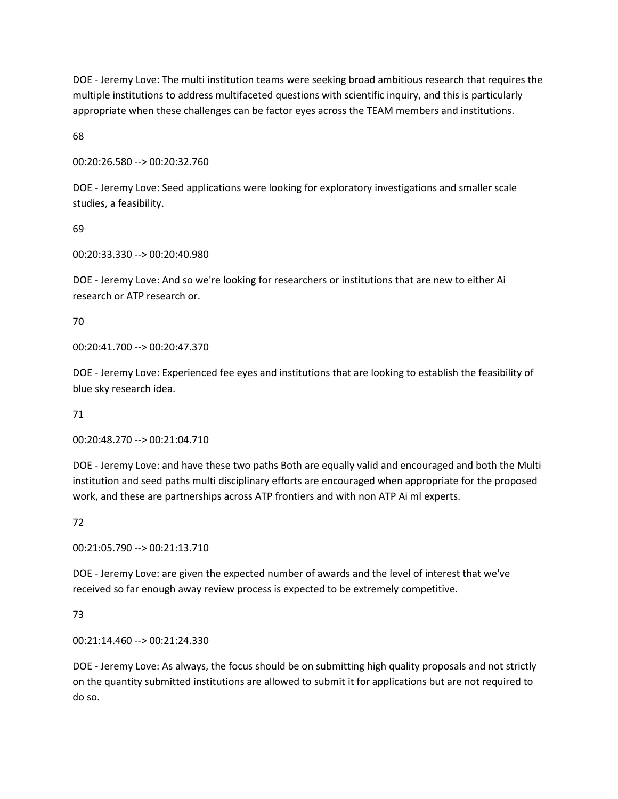DOE - Jeremy Love: The multi institution teams were seeking broad ambitious research that requires the multiple institutions to address multifaceted questions with scientific inquiry, and this is particularly appropriate when these challenges can be factor eyes across the TEAM members and institutions.

68

00:20:26.580 --> 00:20:32.760

DOE - Jeremy Love: Seed applications were looking for exploratory investigations and smaller scale studies, a feasibility.

69

00:20:33.330 --> 00:20:40.980

DOE - Jeremy Love: And so we're looking for researchers or institutions that are new to either Ai research or ATP research or.

70

00:20:41.700 --> 00:20:47.370

DOE - Jeremy Love: Experienced fee eyes and institutions that are looking to establish the feasibility of blue sky research idea.

71

00:20:48.270 --> 00:21:04.710

DOE - Jeremy Love: and have these two paths Both are equally valid and encouraged and both the Multi institution and seed paths multi disciplinary efforts are encouraged when appropriate for the proposed work, and these are partnerships across ATP frontiers and with non ATP Ai ml experts.

72

00:21:05.790 --> 00:21:13.710

DOE - Jeremy Love: are given the expected number of awards and the level of interest that we've received so far enough away review process is expected to be extremely competitive.

73

00:21:14.460 --> 00:21:24.330

DOE - Jeremy Love: As always, the focus should be on submitting high quality proposals and not strictly on the quantity submitted institutions are allowed to submit it for applications but are not required to do so.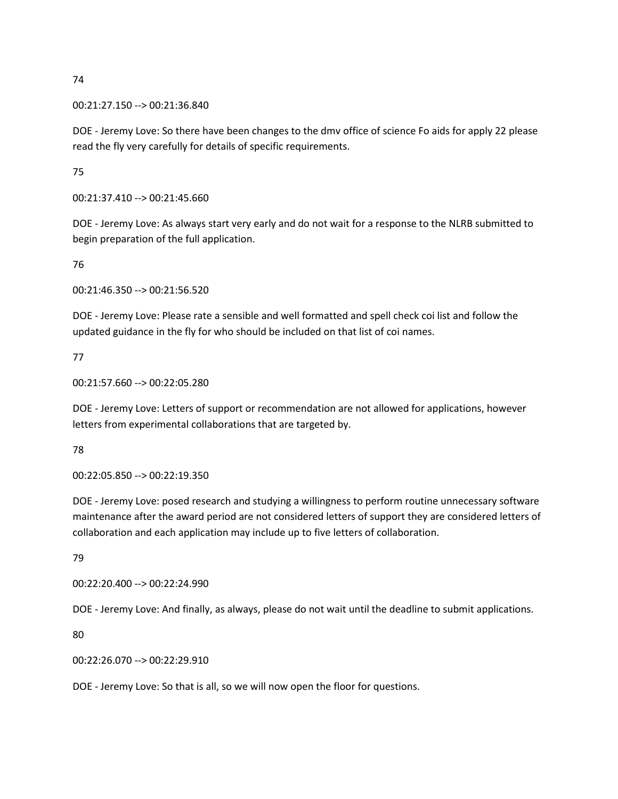00:21:27.150 --> 00:21:36.840

DOE - Jeremy Love: So there have been changes to the dmv office of science Fo aids for apply 22 please read the fly very carefully for details of specific requirements.

75

00:21:37.410 --> 00:21:45.660

DOE - Jeremy Love: As always start very early and do not wait for a response to the NLRB submitted to begin preparation of the full application.

76

00:21:46.350 --> 00:21:56.520

DOE - Jeremy Love: Please rate a sensible and well formatted and spell check coi list and follow the updated guidance in the fly for who should be included on that list of coi names.

77

00:21:57.660 --> 00:22:05.280

DOE - Jeremy Love: Letters of support or recommendation are not allowed for applications, however letters from experimental collaborations that are targeted by.

78

00:22:05.850 --> 00:22:19.350

DOE - Jeremy Love: posed research and studying a willingness to perform routine unnecessary software maintenance after the award period are not considered letters of support they are considered letters of collaboration and each application may include up to five letters of collaboration.

79

00:22:20.400 --> 00:22:24.990

DOE - Jeremy Love: And finally, as always, please do not wait until the deadline to submit applications.

80

00:22:26.070 --> 00:22:29.910

DOE - Jeremy Love: So that is all, so we will now open the floor for questions.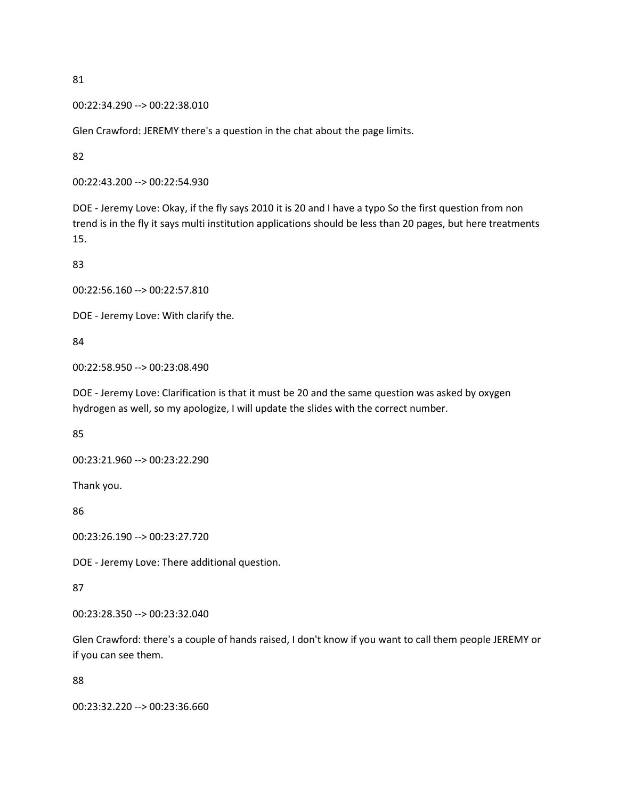```
00:22:34.290 --> 00:22:38.010
```
Glen Crawford: JEREMY there's a question in the chat about the page limits.

82

```
00:22:43.200 --> 00:22:54.930
```
DOE - Jeremy Love: Okay, if the fly says 2010 it is 20 and I have a typo So the first question from non trend is in the fly it says multi institution applications should be less than 20 pages, but here treatments 15.

83

```
00:22:56.160 --> 00:22:57.810
```
DOE - Jeremy Love: With clarify the.

84

```
00:22:58.950 --> 00:23:08.490
```
DOE - Jeremy Love: Clarification is that it must be 20 and the same question was asked by oxygen hydrogen as well, so my apologize, I will update the slides with the correct number.

85

```
00:23:21.960 --> 00:23:22.290
```
Thank you.

86

00:23:26.190 --> 00:23:27.720

DOE - Jeremy Love: There additional question.

87

00:23:28.350 --> 00:23:32.040

Glen Crawford: there's a couple of hands raised, I don't know if you want to call them people JEREMY or if you can see them.

88

00:23:32.220 --> 00:23:36.660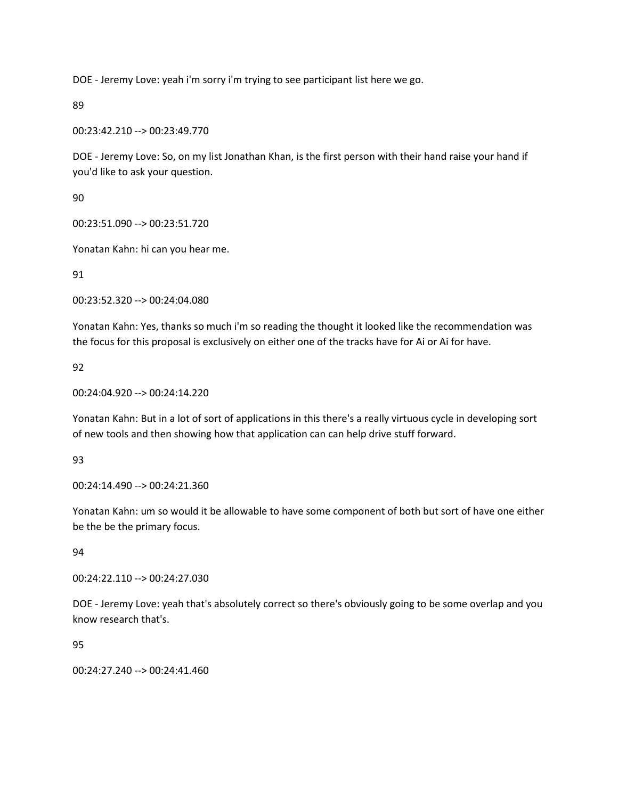DOE - Jeremy Love: yeah i'm sorry i'm trying to see participant list here we go.

89

00:23:42.210 --> 00:23:49.770

DOE - Jeremy Love: So, on my list Jonathan Khan, is the first person with their hand raise your hand if you'd like to ask your question.

90

00:23:51.090 --> 00:23:51.720

Yonatan Kahn: hi can you hear me.

91

00:23:52.320 --> 00:24:04.080

Yonatan Kahn: Yes, thanks so much i'm so reading the thought it looked like the recommendation was the focus for this proposal is exclusively on either one of the tracks have for Ai or Ai for have.

92

00:24:04.920 --> 00:24:14.220

Yonatan Kahn: But in a lot of sort of applications in this there's a really virtuous cycle in developing sort of new tools and then showing how that application can can help drive stuff forward.

93

00:24:14.490 --> 00:24:21.360

Yonatan Kahn: um so would it be allowable to have some component of both but sort of have one either be the be the primary focus.

94

00:24:22.110 --> 00:24:27.030

DOE - Jeremy Love: yeah that's absolutely correct so there's obviously going to be some overlap and you know research that's.

95

00:24:27.240 --> 00:24:41.460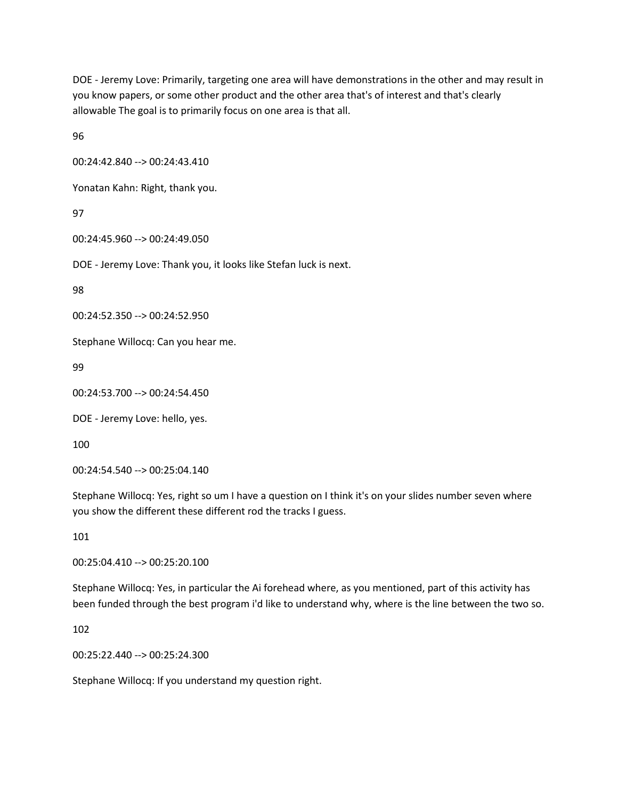DOE - Jeremy Love: Primarily, targeting one area will have demonstrations in the other and may result in you know papers, or some other product and the other area that's of interest and that's clearly allowable The goal is to primarily focus on one area is that all.

96

00:24:42.840 --> 00:24:43.410

Yonatan Kahn: Right, thank you.

97

00:24:45.960 --> 00:24:49.050

DOE - Jeremy Love: Thank you, it looks like Stefan luck is next.

98

00:24:52.350 --> 00:24:52.950

Stephane Willocq: Can you hear me.

99

00:24:53.700 --> 00:24:54.450

DOE - Jeremy Love: hello, yes.

100

00:24:54.540 --> 00:25:04.140

Stephane Willocq: Yes, right so um I have a question on I think it's on your slides number seven where you show the different these different rod the tracks I guess.

101

00:25:04.410 --> 00:25:20.100

Stephane Willocq: Yes, in particular the Ai forehead where, as you mentioned, part of this activity has been funded through the best program i'd like to understand why, where is the line between the two so.

102

00:25:22.440 --> 00:25:24.300

Stephane Willocq: If you understand my question right.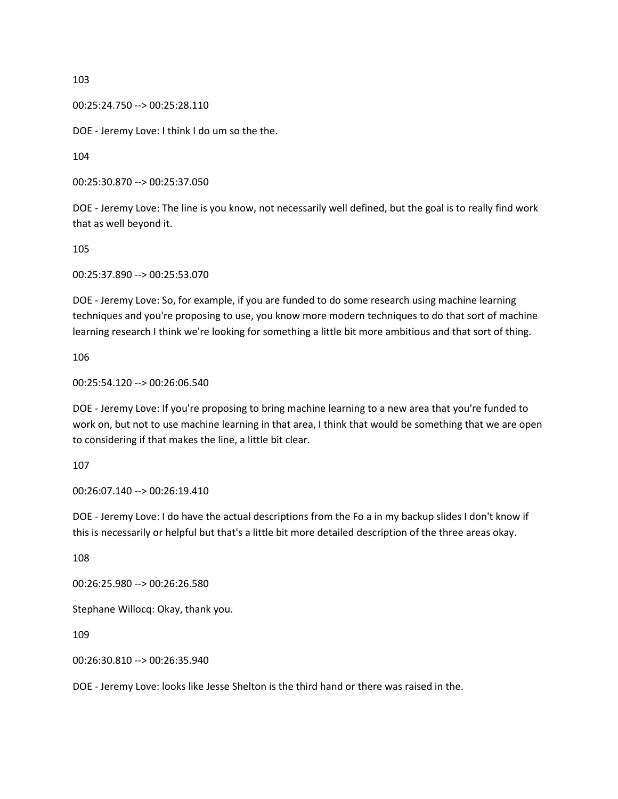00:25:24.750 --> 00:25:28.110

DOE - Jeremy Love: I think I do um so the the.

104

00:25:30.870 --> 00:25:37.050

DOE - Jeremy Love: The line is you know, not necessarily well defined, but the goal is to really find work that as well beyond it.

105

00:25:37.890 --> 00:25:53.070

DOE - Jeremy Love: So, for example, if you are funded to do some research using machine learning techniques and you're proposing to use, you know more modern techniques to do that sort of machine learning research I think we're looking for something a little bit more ambitious and that sort of thing.

106

00:25:54.120 --> 00:26:06.540

DOE - Jeremy Love: If you're proposing to bring machine learning to a new area that you're funded to work on, but not to use machine learning in that area, I think that would be something that we are open to considering if that makes the line, a little bit clear.

107

00:26:07.140 --> 00:26:19.410

DOE - Jeremy Love: I do have the actual descriptions from the Fo a in my backup slides I don't know if this is necessarily or helpful but that's a little bit more detailed description of the three areas okay.

108

00:26:25.980 --> 00:26:26.580

Stephane Willocq: Okay, thank you.

109

00:26:30.810 --> 00:26:35.940

DOE - Jeremy Love: looks like Jesse Shelton is the third hand or there was raised in the.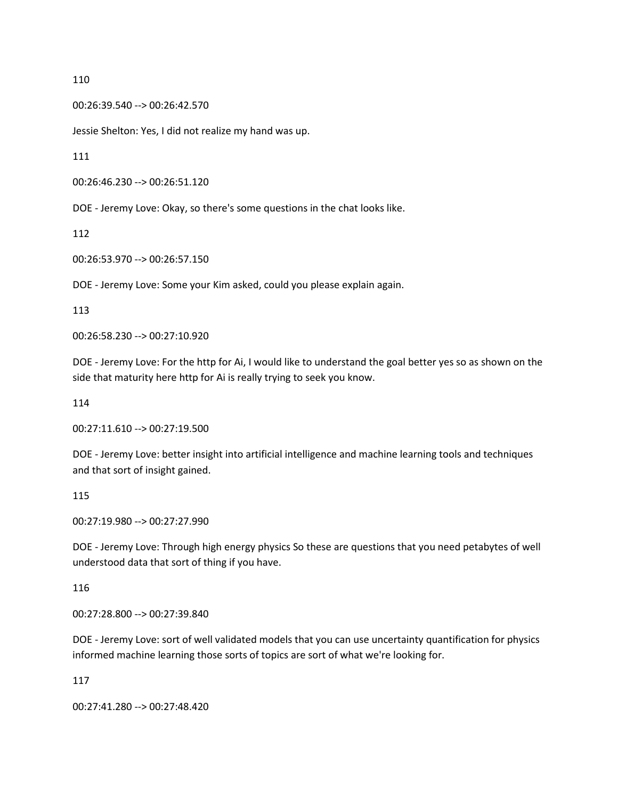00:26:39.540 --> 00:26:42.570

Jessie Shelton: Yes, I did not realize my hand was up.

111

00:26:46.230 --> 00:26:51.120

DOE - Jeremy Love: Okay, so there's some questions in the chat looks like.

112

00:26:53.970 --> 00:26:57.150

DOE - Jeremy Love: Some your Kim asked, could you please explain again.

113

00:26:58.230 --> 00:27:10.920

DOE - Jeremy Love: For the http for Ai, I would like to understand the goal better yes so as shown on the side that maturity here http for Ai is really trying to seek you know.

114

00:27:11.610 --> 00:27:19.500

DOE - Jeremy Love: better insight into artificial intelligence and machine learning tools and techniques and that sort of insight gained.

115

00:27:19.980 --> 00:27:27.990

DOE - Jeremy Love: Through high energy physics So these are questions that you need petabytes of well understood data that sort of thing if you have.

116

00:27:28.800 --> 00:27:39.840

DOE - Jeremy Love: sort of well validated models that you can use uncertainty quantification for physics informed machine learning those sorts of topics are sort of what we're looking for.

117

00:27:41.280 --> 00:27:48.420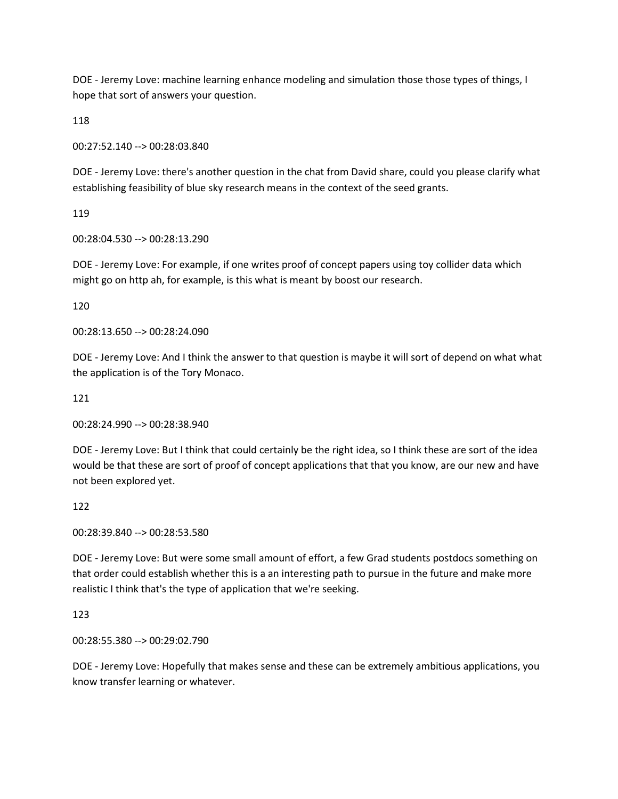DOE - Jeremy Love: machine learning enhance modeling and simulation those those types of things, I hope that sort of answers your question.

118

00:27:52.140 --> 00:28:03.840

DOE - Jeremy Love: there's another question in the chat from David share, could you please clarify what establishing feasibility of blue sky research means in the context of the seed grants.

119

00:28:04.530 --> 00:28:13.290

DOE - Jeremy Love: For example, if one writes proof of concept papers using toy collider data which might go on http ah, for example, is this what is meant by boost our research.

120

00:28:13.650 --> 00:28:24.090

DOE - Jeremy Love: And I think the answer to that question is maybe it will sort of depend on what what the application is of the Tory Monaco.

121

00:28:24.990 --> 00:28:38.940

DOE - Jeremy Love: But I think that could certainly be the right idea, so I think these are sort of the idea would be that these are sort of proof of concept applications that that you know, are our new and have not been explored yet.

122

00:28:39.840 --> 00:28:53.580

DOE - Jeremy Love: But were some small amount of effort, a few Grad students postdocs something on that order could establish whether this is a an interesting path to pursue in the future and make more realistic I think that's the type of application that we're seeking.

123

00:28:55.380 --> 00:29:02.790

DOE - Jeremy Love: Hopefully that makes sense and these can be extremely ambitious applications, you know transfer learning or whatever.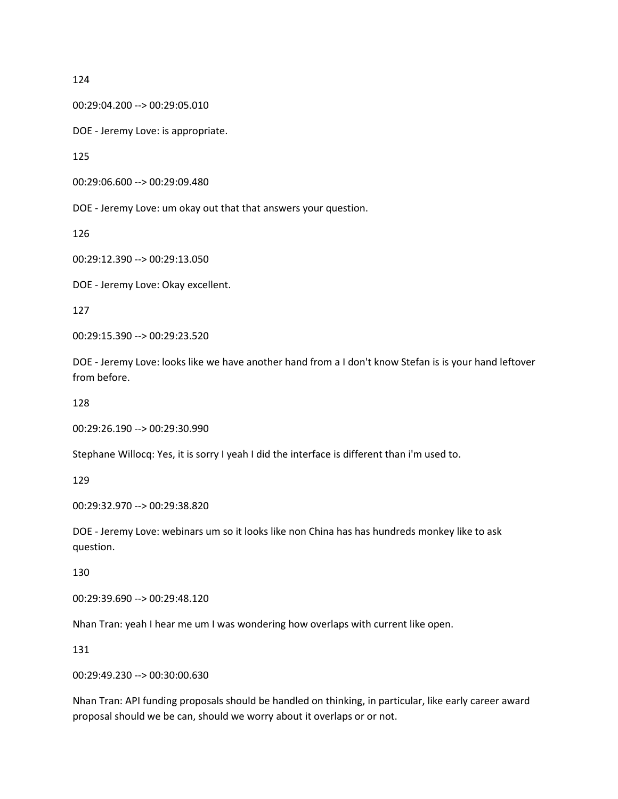00:29:04.200 --> 00:29:05.010

DOE - Jeremy Love: is appropriate.

125

```
00:29:06.600 --> 00:29:09.480
```
DOE - Jeremy Love: um okay out that that answers your question.

126

00:29:12.390 --> 00:29:13.050

DOE - Jeremy Love: Okay excellent.

127

00:29:15.390 --> 00:29:23.520

DOE - Jeremy Love: looks like we have another hand from a I don't know Stefan is is your hand leftover from before.

128

00:29:26.190 --> 00:29:30.990

Stephane Willocq: Yes, it is sorry I yeah I did the interface is different than i'm used to.

129

00:29:32.970 --> 00:29:38.820

DOE - Jeremy Love: webinars um so it looks like non China has has hundreds monkey like to ask question.

130

00:29:39.690 --> 00:29:48.120

Nhan Tran: yeah I hear me um I was wondering how overlaps with current like open.

131

00:29:49.230 --> 00:30:00.630

Nhan Tran: API funding proposals should be handled on thinking, in particular, like early career award proposal should we be can, should we worry about it overlaps or or not.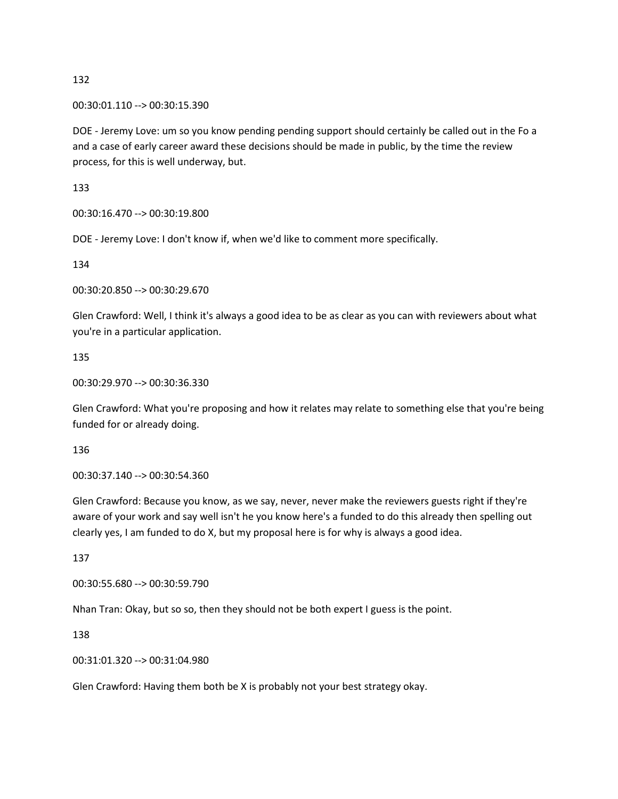00:30:01.110 --> 00:30:15.390

DOE - Jeremy Love: um so you know pending pending support should certainly be called out in the Fo a and a case of early career award these decisions should be made in public, by the time the review process, for this is well underway, but.

133

00:30:16.470 --> 00:30:19.800

DOE - Jeremy Love: I don't know if, when we'd like to comment more specifically.

134

00:30:20.850 --> 00:30:29.670

Glen Crawford: Well, I think it's always a good idea to be as clear as you can with reviewers about what you're in a particular application.

135

00:30:29.970 --> 00:30:36.330

Glen Crawford: What you're proposing and how it relates may relate to something else that you're being funded for or already doing.

136

00:30:37.140 --> 00:30:54.360

Glen Crawford: Because you know, as we say, never, never make the reviewers guests right if they're aware of your work and say well isn't he you know here's a funded to do this already then spelling out clearly yes, I am funded to do X, but my proposal here is for why is always a good idea.

137

00:30:55.680 --> 00:30:59.790

Nhan Tran: Okay, but so so, then they should not be both expert I guess is the point.

138

00:31:01.320 --> 00:31:04.980

Glen Crawford: Having them both be X is probably not your best strategy okay.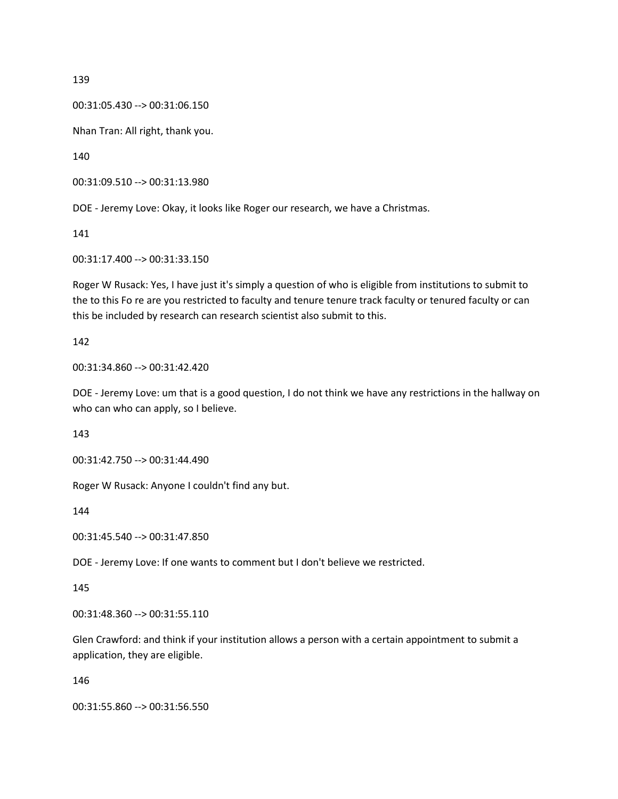00:31:05.430 --> 00:31:06.150

Nhan Tran: All right, thank you.

140

00:31:09.510 --> 00:31:13.980

DOE - Jeremy Love: Okay, it looks like Roger our research, we have a Christmas.

141

00:31:17.400 --> 00:31:33.150

Roger W Rusack: Yes, I have just it's simply a question of who is eligible from institutions to submit to the to this Fo re are you restricted to faculty and tenure tenure track faculty or tenured faculty or can this be included by research can research scientist also submit to this.

142

00:31:34.860 --> 00:31:42.420

DOE - Jeremy Love: um that is a good question, I do not think we have any restrictions in the hallway on who can who can apply, so I believe.

143

00:31:42.750 --> 00:31:44.490

Roger W Rusack: Anyone I couldn't find any but.

144

00:31:45.540 --> 00:31:47.850

DOE - Jeremy Love: If one wants to comment but I don't believe we restricted.

145

00:31:48.360 --> 00:31:55.110

Glen Crawford: and think if your institution allows a person with a certain appointment to submit a application, they are eligible.

146

00:31:55.860 --> 00:31:56.550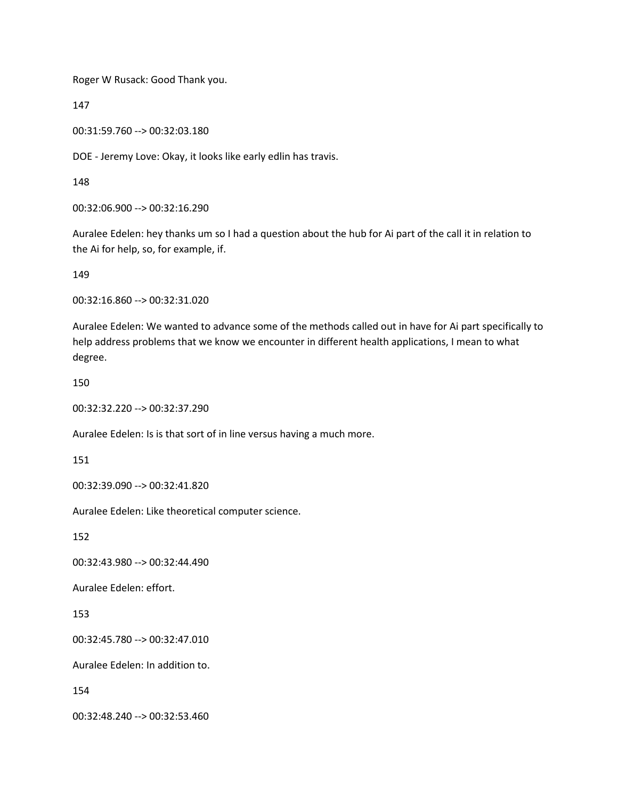Roger W Rusack: Good Thank you.

147

00:31:59.760 --> 00:32:03.180

DOE - Jeremy Love: Okay, it looks like early edlin has travis.

148

00:32:06.900 --> 00:32:16.290

Auralee Edelen: hey thanks um so I had a question about the hub for Ai part of the call it in relation to the Ai for help, so, for example, if.

149

00:32:16.860 --> 00:32:31.020

Auralee Edelen: We wanted to advance some of the methods called out in have for Ai part specifically to help address problems that we know we encounter in different health applications, I mean to what degree.

150

00:32:32.220 --> 00:32:37.290

Auralee Edelen: Is is that sort of in line versus having a much more.

151

00:32:39.090 --> 00:32:41.820

Auralee Edelen: Like theoretical computer science.

152

00:32:43.980 --> 00:32:44.490

Auralee Edelen: effort.

153

00:32:45.780 --> 00:32:47.010

Auralee Edelen: In addition to.

154

00:32:48.240 --> 00:32:53.460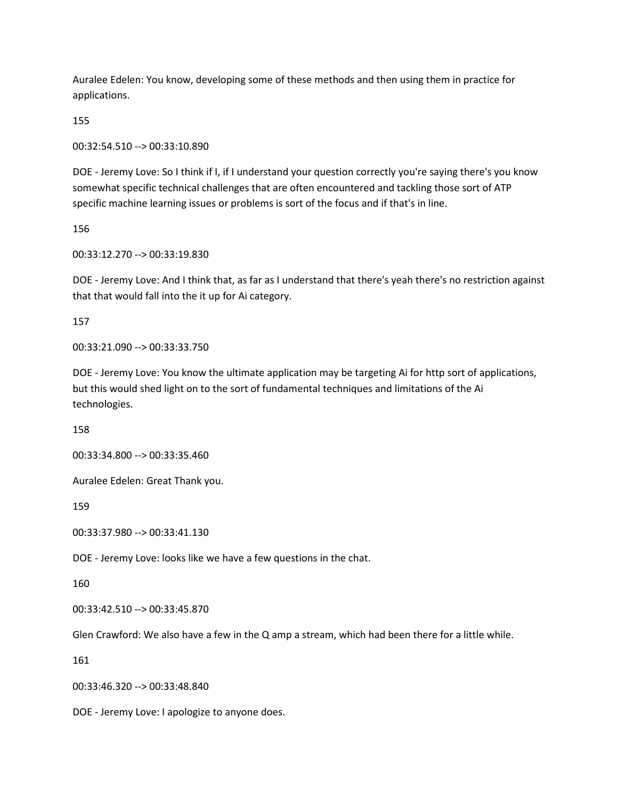Auralee Edelen: You know, developing some of these methods and then using them in practice for applications.

155

00:32:54.510 --> 00:33:10.890

DOE - Jeremy Love: So I think if I, if I understand your question correctly you're saying there's you know somewhat specific technical challenges that are often encountered and tackling those sort of ATP specific machine learning issues or problems is sort of the focus and if that's in line.

156

00:33:12.270 --> 00:33:19.830

DOE - Jeremy Love: And I think that, as far as I understand that there's yeah there's no restriction against that that would fall into the it up for Ai category.

157

00:33:21.090 --> 00:33:33.750

DOE - Jeremy Love: You know the ultimate application may be targeting Ai for http sort of applications, but this would shed light on to the sort of fundamental techniques and limitations of the Ai technologies.

158

00:33:34.800 --> 00:33:35.460

Auralee Edelen: Great Thank you.

159

00:33:37.980 --> 00:33:41.130

DOE - Jeremy Love: looks like we have a few questions in the chat.

160

00:33:42.510 --> 00:33:45.870

Glen Crawford: We also have a few in the Q amp a stream, which had been there for a little while.

161

00:33:46.320 --> 00:33:48.840

DOE - Jeremy Love: I apologize to anyone does.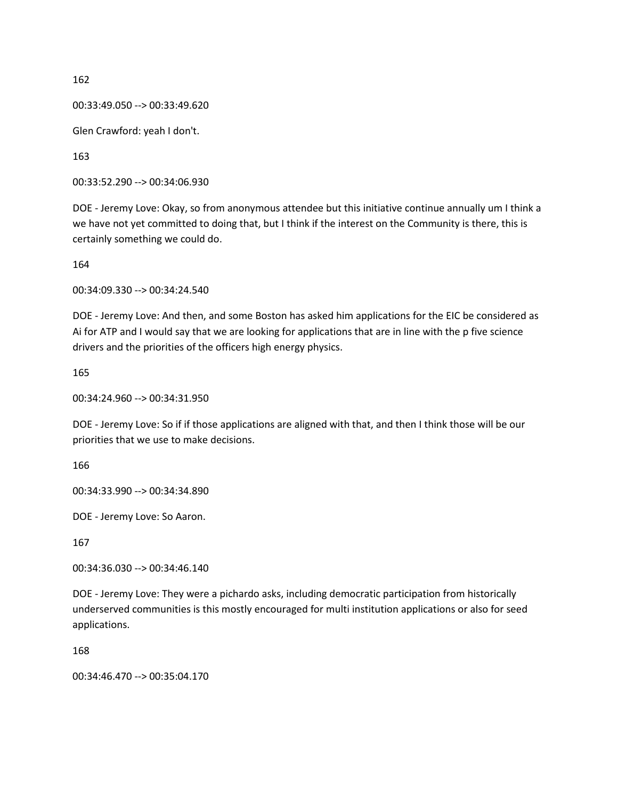```
00:33:49.050 --> 00:33:49.620
```
Glen Crawford: yeah I don't.

163

00:33:52.290 --> 00:34:06.930

DOE - Jeremy Love: Okay, so from anonymous attendee but this initiative continue annually um I think a we have not yet committed to doing that, but I think if the interest on the Community is there, this is certainly something we could do.

164

00:34:09.330 --> 00:34:24.540

DOE - Jeremy Love: And then, and some Boston has asked him applications for the EIC be considered as Ai for ATP and I would say that we are looking for applications that are in line with the p five science drivers and the priorities of the officers high energy physics.

165

00:34:24.960 --> 00:34:31.950

DOE - Jeremy Love: So if if those applications are aligned with that, and then I think those will be our priorities that we use to make decisions.

166

00:34:33.990 --> 00:34:34.890

DOE - Jeremy Love: So Aaron.

167

00:34:36.030 --> 00:34:46.140

DOE - Jeremy Love: They were a pichardo asks, including democratic participation from historically underserved communities is this mostly encouraged for multi institution applications or also for seed applications.

168

00:34:46.470 --> 00:35:04.170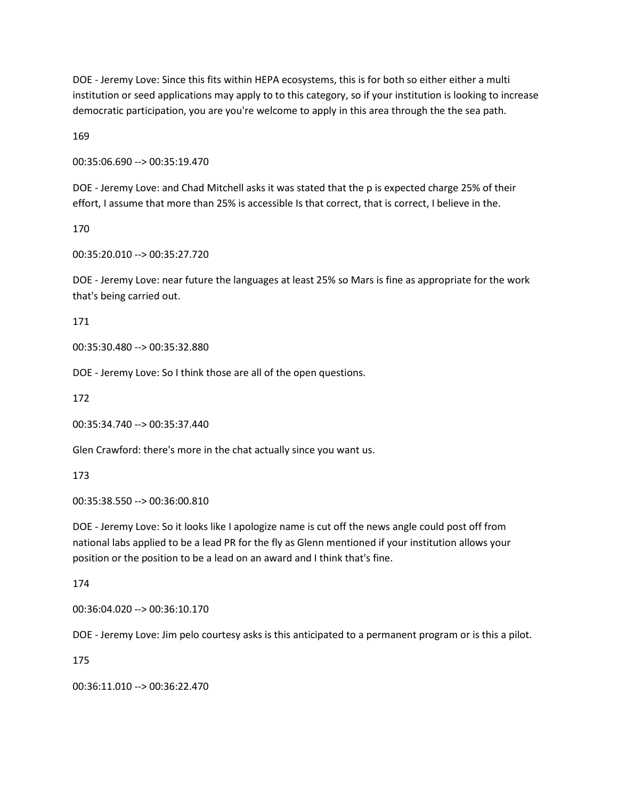DOE - Jeremy Love: Since this fits within HEPA ecosystems, this is for both so either either a multi institution or seed applications may apply to to this category, so if your institution is looking to increase democratic participation, you are you're welcome to apply in this area through the the sea path.

169

00:35:06.690 --> 00:35:19.470

DOE - Jeremy Love: and Chad Mitchell asks it was stated that the p is expected charge 25% of their effort, I assume that more than 25% is accessible Is that correct, that is correct, I believe in the.

170

00:35:20.010 --> 00:35:27.720

DOE - Jeremy Love: near future the languages at least 25% so Mars is fine as appropriate for the work that's being carried out.

171

00:35:30.480 --> 00:35:32.880

DOE - Jeremy Love: So I think those are all of the open questions.

172

00:35:34.740 --> 00:35:37.440

Glen Crawford: there's more in the chat actually since you want us.

173

00:35:38.550 --> 00:36:00.810

DOE - Jeremy Love: So it looks like I apologize name is cut off the news angle could post off from national labs applied to be a lead PR for the fly as Glenn mentioned if your institution allows your position or the position to be a lead on an award and I think that's fine.

174

00:36:04.020 --> 00:36:10.170

DOE - Jeremy Love: Jim pelo courtesy asks is this anticipated to a permanent program or is this a pilot.

175

00:36:11.010 --> 00:36:22.470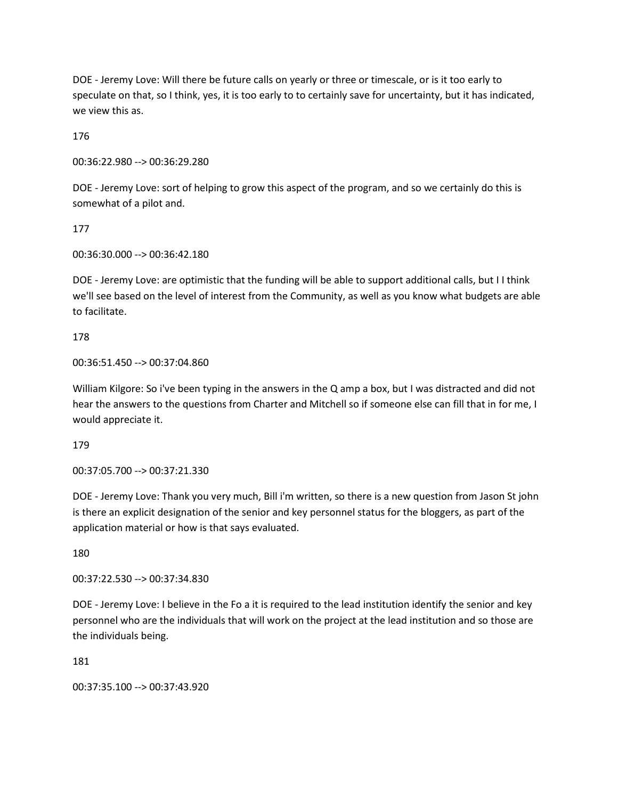DOE - Jeremy Love: Will there be future calls on yearly or three or timescale, or is it too early to speculate on that, so I think, yes, it is too early to to certainly save for uncertainty, but it has indicated, we view this as.

176

00:36:22.980 --> 00:36:29.280

DOE - Jeremy Love: sort of helping to grow this aspect of the program, and so we certainly do this is somewhat of a pilot and.

177

00:36:30.000 --> 00:36:42.180

DOE - Jeremy Love: are optimistic that the funding will be able to support additional calls, but I I think we'll see based on the level of interest from the Community, as well as you know what budgets are able to facilitate.

178

00:36:51.450 --> 00:37:04.860

William Kilgore: So i've been typing in the answers in the Q amp a box, but I was distracted and did not hear the answers to the questions from Charter and Mitchell so if someone else can fill that in for me, I would appreciate it.

179

00:37:05.700 --> 00:37:21.330

DOE - Jeremy Love: Thank you very much, Bill i'm written, so there is a new question from Jason St john is there an explicit designation of the senior and key personnel status for the bloggers, as part of the application material or how is that says evaluated.

180

00:37:22.530 --> 00:37:34.830

DOE - Jeremy Love: I believe in the Fo a it is required to the lead institution identify the senior and key personnel who are the individuals that will work on the project at the lead institution and so those are the individuals being.

181

00:37:35.100 --> 00:37:43.920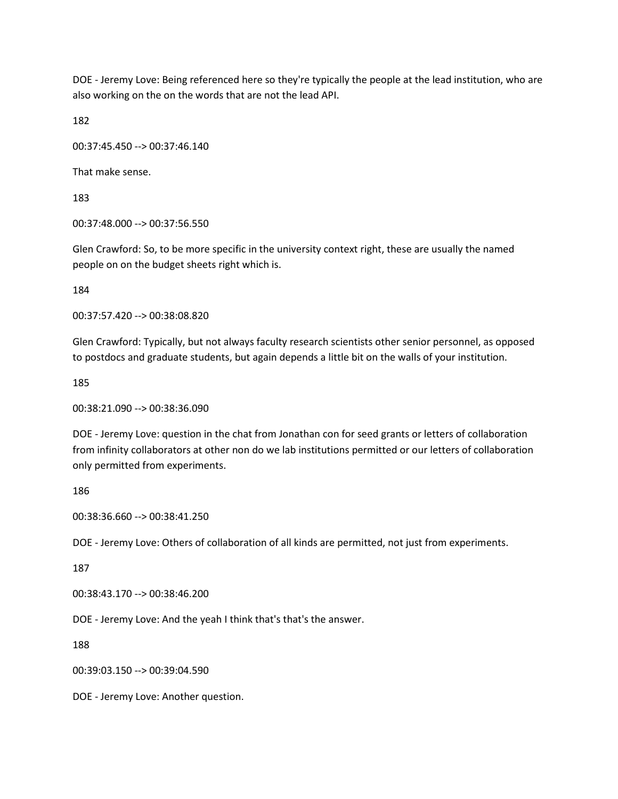DOE - Jeremy Love: Being referenced here so they're typically the people at the lead institution, who are also working on the on the words that are not the lead API.

182

00:37:45.450 --> 00:37:46.140

That make sense.

183

00:37:48.000 --> 00:37:56.550

Glen Crawford: So, to be more specific in the university context right, these are usually the named people on on the budget sheets right which is.

184

00:37:57.420 --> 00:38:08.820

Glen Crawford: Typically, but not always faculty research scientists other senior personnel, as opposed to postdocs and graduate students, but again depends a little bit on the walls of your institution.

185

00:38:21.090 --> 00:38:36.090

DOE - Jeremy Love: question in the chat from Jonathan con for seed grants or letters of collaboration from infinity collaborators at other non do we lab institutions permitted or our letters of collaboration only permitted from experiments.

186

00:38:36.660 --> 00:38:41.250

DOE - Jeremy Love: Others of collaboration of all kinds are permitted, not just from experiments.

187

00:38:43.170 --> 00:38:46.200

DOE - Jeremy Love: And the yeah I think that's that's the answer.

188

00:39:03.150 --> 00:39:04.590

DOE - Jeremy Love: Another question.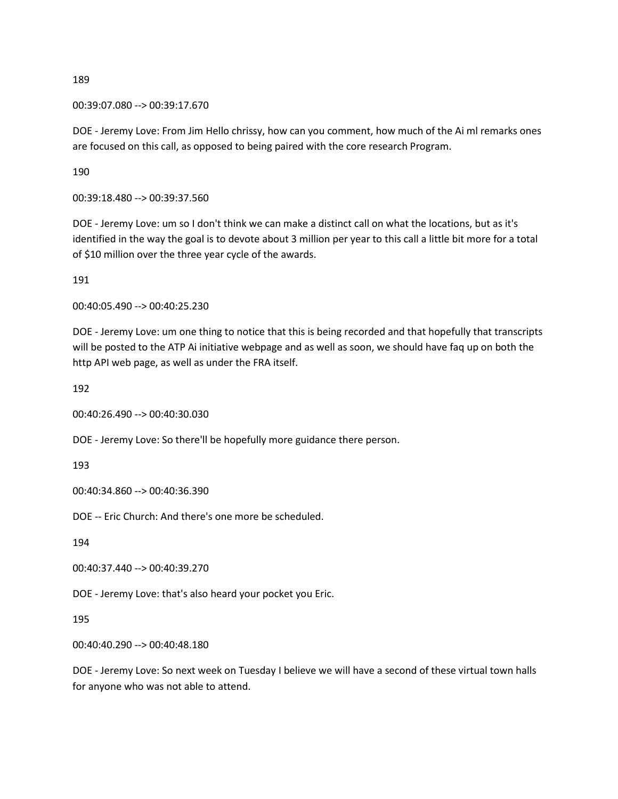00:39:07.080 --> 00:39:17.670

DOE - Jeremy Love: From Jim Hello chrissy, how can you comment, how much of the Ai ml remarks ones are focused on this call, as opposed to being paired with the core research Program.

190

00:39:18.480 --> 00:39:37.560

DOE - Jeremy Love: um so I don't think we can make a distinct call on what the locations, but as it's identified in the way the goal is to devote about 3 million per year to this call a little bit more for a total of \$10 million over the three year cycle of the awards.

191

00:40:05.490 --> 00:40:25.230

DOE - Jeremy Love: um one thing to notice that this is being recorded and that hopefully that transcripts will be posted to the ATP Ai initiative webpage and as well as soon, we should have faq up on both the http API web page, as well as under the FRA itself.

192

00:40:26.490 --> 00:40:30.030

DOE - Jeremy Love: So there'll be hopefully more guidance there person.

193

00:40:34.860 --> 00:40:36.390

DOE -- Eric Church: And there's one more be scheduled.

194

00:40:37.440 --> 00:40:39.270

DOE - Jeremy Love: that's also heard your pocket you Eric.

195

00:40:40.290 --> 00:40:48.180

DOE - Jeremy Love: So next week on Tuesday I believe we will have a second of these virtual town halls for anyone who was not able to attend.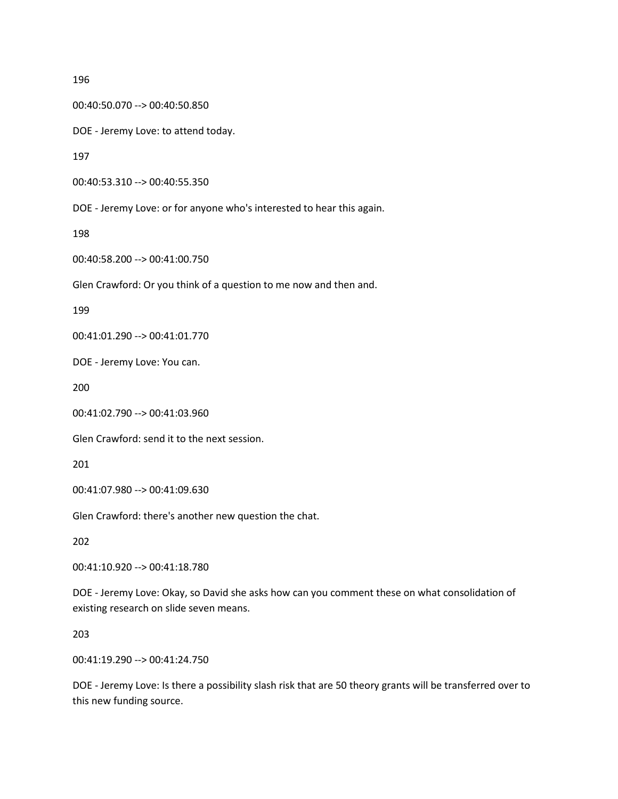00:40:50.070 --> 00:40:50.850

DOE - Jeremy Love: to attend today.

197

00:40:53.310 --> 00:40:55.350

DOE - Jeremy Love: or for anyone who's interested to hear this again.

198

00:40:58.200 --> 00:41:00.750

Glen Crawford: Or you think of a question to me now and then and.

199

00:41:01.290 --> 00:41:01.770

DOE - Jeremy Love: You can.

200

00:41:02.790 --> 00:41:03.960

Glen Crawford: send it to the next session.

201

00:41:07.980 --> 00:41:09.630

Glen Crawford: there's another new question the chat.

202

00:41:10.920 --> 00:41:18.780

DOE - Jeremy Love: Okay, so David she asks how can you comment these on what consolidation of existing research on slide seven means.

203

00:41:19.290 --> 00:41:24.750

DOE - Jeremy Love: Is there a possibility slash risk that are 50 theory grants will be transferred over to this new funding source.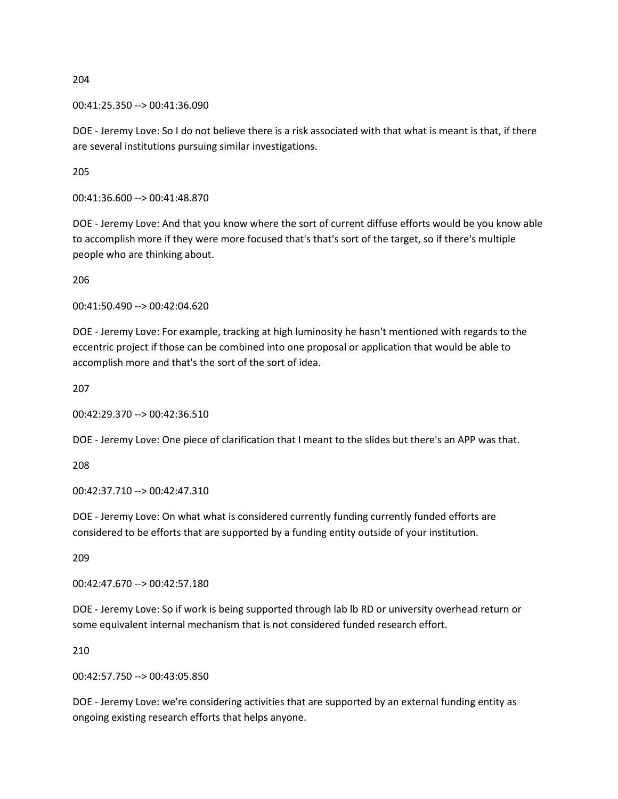00:41:25.350 --> 00:41:36.090

DOE - Jeremy Love: So I do not believe there is a risk associated with that what is meant is that, if there are several institutions pursuing similar investigations.

205

00:41:36.600 --> 00:41:48.870

DOE - Jeremy Love: And that you know where the sort of current diffuse efforts would be you know able to accomplish more if they were more focused that's that's sort of the target, so if there's multiple people who are thinking about.

206

00:41:50.490 --> 00:42:04.620

DOE - Jeremy Love: For example, tracking at high luminosity he hasn't mentioned with regards to the eccentric project if those can be combined into one proposal or application that would be able to accomplish more and that's the sort of the sort of idea.

207

00:42:29.370 --> 00:42:36.510

DOE - Jeremy Love: One piece of clarification that I meant to the slides but there's an APP was that.

208

00:42:37.710 --> 00:42:47.310

DOE - Jeremy Love: On what what is considered currently funding currently funded efforts are considered to be efforts that are supported by a funding entity outside of your institution.

209

00:42:47.670 --> 00:42:57.180

DOE - Jeremy Love: So if work is being supported through lab lb RD or university overhead return or some equivalent internal mechanism that is not considered funded research effort.

210

00:42:57.750 --> 00:43:05.850

DOE - Jeremy Love: we're considering activities that are supported by an external funding entity as ongoing existing research efforts that helps anyone.